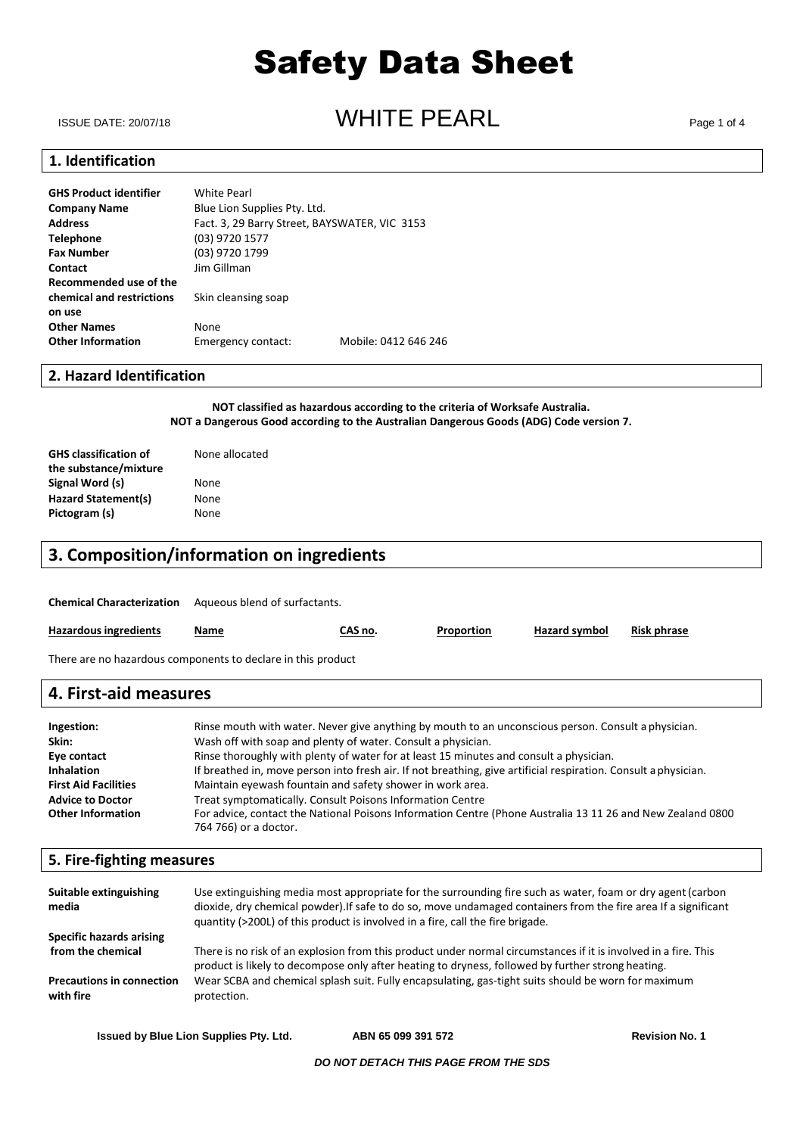ISSUE DATE: 20/07/18 **ISSUE DATE: 20/07/18** Page 1 of 4

### **1. Identification**

| GHS Product identifier    | <b>White Pearl</b>                            |                      |
|---------------------------|-----------------------------------------------|----------------------|
| Company Name              | Blue Lion Supplies Pty. Ltd.                  |                      |
| Address                   | Fact. 3, 29 Barry Street, BAYSWATER, VIC 3153 |                      |
| Telephone                 | (03) 9720 1577                                |                      |
| Fax Number                | (03) 9720 1799                                |                      |
| Contact                   | Jim Gillman                                   |                      |
| Recommended use of the    |                                               |                      |
| chemical and restrictions | Skin cleansing soap                           |                      |
| on use                    |                                               |                      |
| <b>Other Names</b>        | None                                          |                      |
| <b>Other Information</b>  | Emergency contact:                            | Mobile: 0412 646 246 |

### **2. Hazard Identification**

**NOT classified as hazardous according to the criteria of Worksafe Australia. NOT a Dangerous Good according to the Australian Dangerous Goods (ADG) Code version 7.**

| <b>GHS classification of</b> | None allocated |
|------------------------------|----------------|
| the substance/mixture        |                |
| Signal Word (s)              | None           |
| Hazard Statement(s)          | None           |
| Pictogram (s)                | None           |

### **3. Composition/information on ingredients**

**Chemical Characterization** Aqueous blend of surfactants.

| <b>Hazardous ingredients</b>                                 | Name | CAS no. | Proportion | Hazard symbol | <b>Risk phrase</b> |
|--------------------------------------------------------------|------|---------|------------|---------------|--------------------|
| There are no hazardous components to declare in this product |      |         |            |               |                    |

### **Ingestion:** Rinse mouth with water. Never give anything by mouth to an unconscious person. Consult a physician **4. First-aid measures**

| <b>HIRCOUVIL</b>            | misc moden with water, never give anything by moden to an anconscious person, consult a physician,              |
|-----------------------------|-----------------------------------------------------------------------------------------------------------------|
| Skin:                       | Wash off with soap and plenty of water. Consult a physician.                                                    |
| Eye contact                 | Rinse thoroughly with plenty of water for at least 15 minutes and consult a physician.                          |
| <b>Inhalation</b>           | If breathed in, move person into fresh air. If not breathing, give artificial respiration. Consult a physician. |
| <b>First Aid Facilities</b> | Maintain eyewash fountain and safety shower in work area.                                                       |
| <b>Advice to Doctor</b>     | Treat symptomatically. Consult Poisons Information Centre                                                       |
| <b>Other Information</b>    | For advice, contact the National Poisons Information Centre (Phone Australia 13 11 26 and New Zealand 0800      |
|                             | 764 766) or a doctor.                                                                                           |
|                             |                                                                                                                 |

### **5. Fire-fighting measures**

| Suitable extinguishing<br>media               | Use extinguishing media most appropriate for the surrounding fire such as water, foam or dry agent (carbon<br>dioxide, dry chemical powder). If safe to do so, move undamaged containers from the fire area If a significant<br>quantity (>200L) of this product is involved in a fire, call the fire brigade. |
|-----------------------------------------------|----------------------------------------------------------------------------------------------------------------------------------------------------------------------------------------------------------------------------------------------------------------------------------------------------------------|
| Specific hazards arising                      |                                                                                                                                                                                                                                                                                                                |
| from the chemical                             | There is no risk of an explosion from this product under normal circumstances if it is involved in a fire. This<br>product is likely to decompose only after heating to dryness, followed by further strong heating.                                                                                           |
| <b>Precautions in connection</b><br>with fire | Wear SCBA and chemical splash suit. Fully encapsulating, gas-tight suits should be worn for maximum<br>protection.                                                                                                                                                                                             |

**Issued by Blue Lion Supplies Pty. Ltd. ABN 65 099 391 572 Revision No. 1**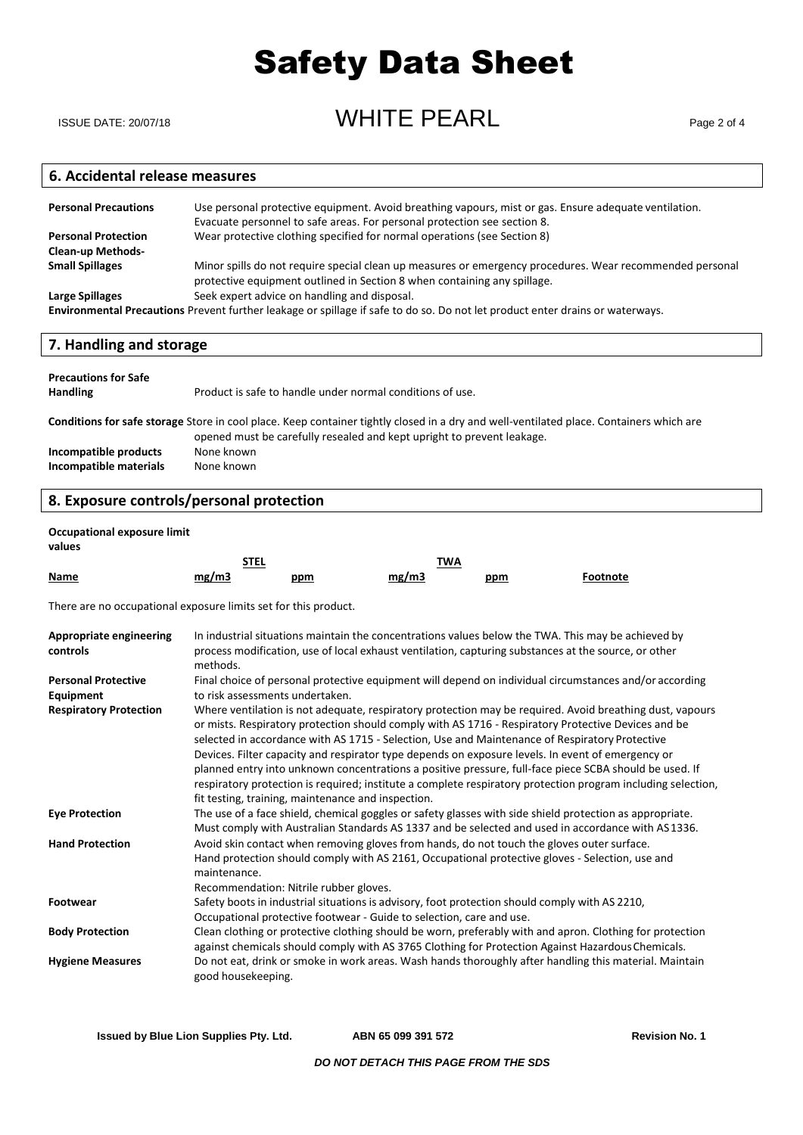ISSUE DATE: 20/07/18 **ISSUE DATE: 20/07/18** Page 2 of 4

### **6. Accidental release measures**

| <b>Personal Precautions</b> | Use personal protective equipment. Avoid breathing vapours, mist or gas. Ensure adequate ventilation.<br>Evacuate personnel to safe areas. For personal protection see section 8.    |
|-----------------------------|--------------------------------------------------------------------------------------------------------------------------------------------------------------------------------------|
| <b>Personal Protection</b>  | Wear protective clothing specified for normal operations (see Section 8)                                                                                                             |
| <b>Clean-up Methods-</b>    |                                                                                                                                                                                      |
| <b>Small Spillages</b>      | Minor spills do not require special clean up measures or emergency procedures. Wear recommended personal<br>protective equipment outlined in Section 8 when containing any spillage. |
| Large Spillages             | Seek expert advice on handling and disposal.                                                                                                                                         |
|                             | Environmental Precautions Prevent further leakage or spillage if safe to do so. Do not let product enter drains or waterways.                                                        |

### **7. Handling and storage**

| <b>Precautions for Safe</b><br><b>Handling</b>  | Product is safe to handle under normal conditions of use.                                                                                                                                                         |
|-------------------------------------------------|-------------------------------------------------------------------------------------------------------------------------------------------------------------------------------------------------------------------|
|                                                 | Conditions for safe storage Store in cool place. Keep container tightly closed in a dry and well-ventilated place. Containers which are<br>opened must be carefully resealed and kept upright to prevent leakage. |
| Incompatible products<br>Incompatible materials | None known<br>None known                                                                                                                                                                                          |

### **8. Exposure controls/personal protection**

#### **Occupational exposure limit**

| values      |             |            |            |     |          |
|-------------|-------------|------------|------------|-----|----------|
|             | <u>STEL</u> |            | <b>TWA</b> |     |          |
| <u>Name</u> | mg/m3       | <u>ppm</u> | mg/m3      | ppm | Footnote |

There are no occupational exposure limits set for this product.

| <b>Appropriate engineering</b><br>controls | In industrial situations maintain the concentrations values below the TWA. This may be achieved by<br>process modification, use of local exhaust ventilation, capturing substances at the source, or other<br>methods.                                                                                                                                                                                                 |
|--------------------------------------------|------------------------------------------------------------------------------------------------------------------------------------------------------------------------------------------------------------------------------------------------------------------------------------------------------------------------------------------------------------------------------------------------------------------------|
| <b>Personal Protective</b>                 | Final choice of personal protective equipment will depend on individual circumstances and/or according                                                                                                                                                                                                                                                                                                                 |
| Equipment                                  | to risk assessments undertaken.                                                                                                                                                                                                                                                                                                                                                                                        |
| <b>Respiratory Protection</b>              | Where ventilation is not adequate, respiratory protection may be required. Avoid breathing dust, vapours<br>or mists. Respiratory protection should comply with AS 1716 - Respiratory Protective Devices and be<br>selected in accordance with AS 1715 - Selection, Use and Maintenance of Respiratory Protective<br>Devices. Filter capacity and respirator type depends on exposure levels. In event of emergency or |
|                                            | planned entry into unknown concentrations a positive pressure, full-face piece SCBA should be used. If<br>respiratory protection is required; institute a complete respiratory protection program including selection,<br>fit testing, training, maintenance and inspection.                                                                                                                                           |
| <b>Eye Protection</b>                      | The use of a face shield, chemical goggles or safety glasses with side shield protection as appropriate.<br>Must comply with Australian Standards AS 1337 and be selected and used in accordance with AS 1336.                                                                                                                                                                                                         |
| <b>Hand Protection</b>                     | Avoid skin contact when removing gloves from hands, do not touch the gloves outer surface.<br>Hand protection should comply with AS 2161, Occupational protective gloves - Selection, use and<br>maintenance.                                                                                                                                                                                                          |
|                                            | Recommendation: Nitrile rubber gloves.                                                                                                                                                                                                                                                                                                                                                                                 |
| <b>Footwear</b>                            | Safety boots in industrial situations is advisory, foot protection should comply with AS 2210,<br>Occupational protective footwear - Guide to selection, care and use.                                                                                                                                                                                                                                                 |
| <b>Body Protection</b>                     | Clean clothing or protective clothing should be worn, preferably with and apron. Clothing for protection<br>against chemicals should comply with AS 3765 Clothing for Protection Against Hazardous Chemicals.                                                                                                                                                                                                          |
| <b>Hygiene Measures</b>                    | Do not eat, drink or smoke in work areas. Wash hands thoroughly after handling this material. Maintain<br>good housekeeping.                                                                                                                                                                                                                                                                                           |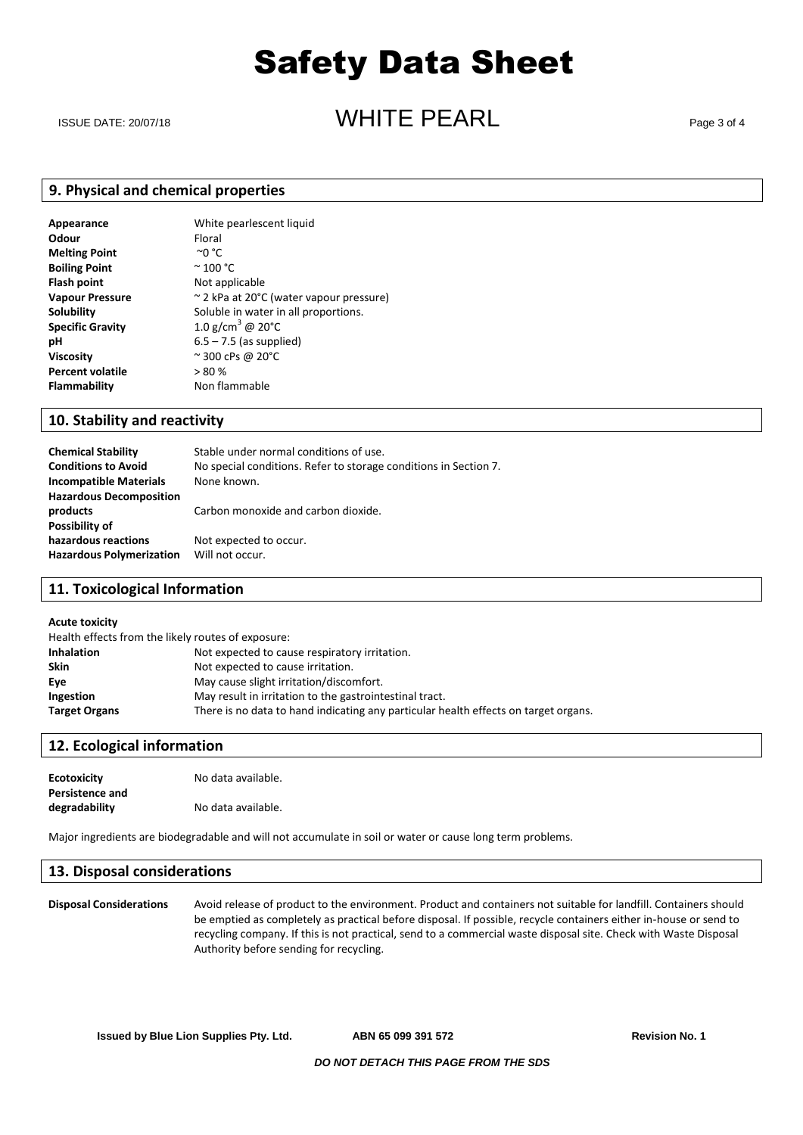### ISSUE DATE: 20/07/18  $\blacksquare$   $\blacksquare$   $\blacksquare$   $\blacksquare$   $\blacksquare$   $\blacksquare$   $\blacksquare$   $\blacksquare$   $\blacksquare$   $\blacksquare$   $\blacksquare$   $\blacksquare$   $\blacksquare$   $\blacksquare$   $\blacksquare$   $\blacksquare$   $\blacksquare$   $\blacksquare$   $\blacksquare$   $\blacksquare$   $\blacksquare$   $\blacksquare$   $\blacksquare$   $\blacksquare$   $\blacksquare$   $\blacksquare$   $\blacksquare$   $\blacksquare$   $\blacks$

### **9. Physical and chemical properties**

| Appearance              | White pearlescent liquid                |
|-------------------------|-----------------------------------------|
| Odour                   | Floral                                  |
| <b>Melting Point</b>    | ∼o °C                                   |
| <b>Boiling Point</b>    | $\degree$ 100 $\degree$ C               |
| <b>Flash point</b>      | Not applicable                          |
| <b>Vapour Pressure</b>  | ~ 2 kPa at 20°C (water vapour pressure) |
| Solubility              | Soluble in water in all proportions.    |
| <b>Specific Gravity</b> | 1.0 g/cm <sup>3</sup> @ 20 $^{\circ}$ C |
| рH                      | $6.5 - 7.5$ (as supplied)               |
| <b>Viscosity</b>        | $\approx$ 300 cPs @ 20 $\degree$ C      |
| <b>Percent volatile</b> | > 80%                                   |
| <b>Flammability</b>     | Non flammable                           |
|                         |                                         |

#### **10. Stability and reactivity**

| <b>Chemical Stability</b>       | Stable under normal conditions of use.                           |
|---------------------------------|------------------------------------------------------------------|
| <b>Conditions to Avoid</b>      | No special conditions. Refer to storage conditions in Section 7. |
| <b>Incompatible Materials</b>   | None known.                                                      |
| <b>Hazardous Decomposition</b>  |                                                                  |
| products                        | Carbon monoxide and carbon dioxide.                              |
| Possibility of                  |                                                                  |
| hazardous reactions             | Not expected to occur.                                           |
| <b>Hazardous Polymerization</b> | Will not occur.                                                  |
|                                 |                                                                  |

### **11. Toxicological Information**

#### **Acute toxicity**

| Health effects from the likely routes of exposure: |                                                                                     |  |
|----------------------------------------------------|-------------------------------------------------------------------------------------|--|
| <b>Inhalation</b>                                  | Not expected to cause respiratory irritation.                                       |  |
| <b>Skin</b>                                        | Not expected to cause irritation.                                                   |  |
| Eve                                                | May cause slight irritation/discomfort.                                             |  |
| Ingestion                                          | May result in irritation to the gastrointestinal tract.                             |  |
| <b>Target Organs</b>                               | There is no data to hand indicating any particular health effects on target organs. |  |

### **12. Ecological information**

| <b>Ecotoxicity</b>     | No data available. |
|------------------------|--------------------|
| <b>Persistence and</b> |                    |
| degradability          | No data available. |

Major ingredients are biodegradable and will not accumulate in soil or water or cause long term problems.

#### **13. Disposal considerations**

**Disposal Considerations** Avoid release of product to the environment. Product and containers not suitable for landfill. Containers should be emptied as completely as practical before disposal. If possible, recycle containers either in-house or send to recycling company. If this is not practical, send to a commercial waste disposal site. Check with Waste Disposal Authority before sending for recycling.